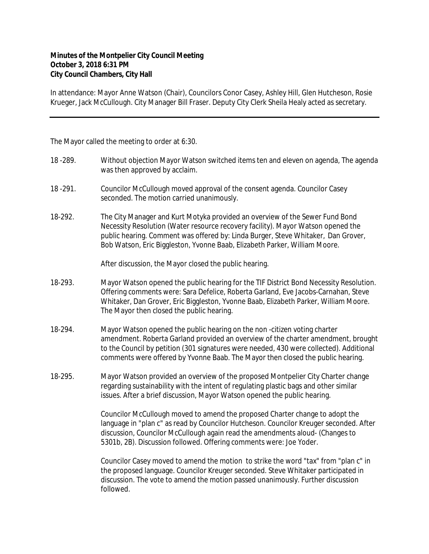## **Minutes of the Montpelier City Council Meeting October 3, 2018 6:31 PM City Council Chambers, City Hall**

In attendance: Mayor Anne Watson (Chair), Councilors Conor Casey, Ashley Hill, Glen Hutcheson, Rosie Krueger, Jack McCullough. City Manager Bill Fraser. Deputy City Clerk Sheila Healy acted as secretary.

The Mayor called the meeting to order at 6:30.

- 18 -289. Without objection Mayor Watson switched items ten and eleven on agenda, The agenda was then approved by acclaim.
- 18 -291. Councilor McCullough moved approval of the consent agenda. Councilor Casey seconded. The motion carried unanimously.
- 18-292. The City Manager and Kurt Motyka provided an overview of the Sewer Fund Bond Necessity Resolution (Water resource recovery facility). Mayor Watson opened the public hearing. Comment was offered by: Linda Burger, Steve Whitaker, Dan Grover, Bob Watson, Eric Biggleston, Yvonne Baab, Elizabeth Parker, William Moore.

After discussion, the Mayor closed the public hearing.

- 18-293. Mayor Watson opened the public hearing for the TIF District Bond Necessity Resolution. Offering comments were: Sara Defelice, Roberta Garland, Eve Jacobs-Carnahan, Steve Whitaker, Dan Grover, Eric Biggleston, Yvonne Baab, Elizabeth Parker, William Moore. The Mayor then closed the public hearing.
- 18-294. Mayor Watson opened the public hearing on the non -citizen voting charter amendment. Roberta Garland provided an overview of the charter amendment, brought to the Council by petition (301 signatures were needed, 430 were collected). Additional comments were offered by Yvonne Baab. The Mayor then closed the public hearing.
- 18-295. Mayor Watson provided an overview of the proposed Montpelier City Charter change regarding sustainability with the intent of regulating plastic bags and other similar issues. After a brief discussion, Mayor Watson opened the public hearing.

Councilor McCullough moved to amend the proposed Charter change to adopt the language in "plan c" as read by Councilor Hutcheson. Councilor Kreuger seconded. After discussion, Councilor McCullough again read the amendments aloud- (Changes to 5301b, 2B). Discussion followed. Offering comments were: Joe Yoder.

Councilor Casey moved to amend the motion to strike the word "tax" from "plan c" in the proposed language. Councilor Kreuger seconded. Steve Whitaker participated in discussion. The vote to amend the motion passed unanimously. Further discussion followed.